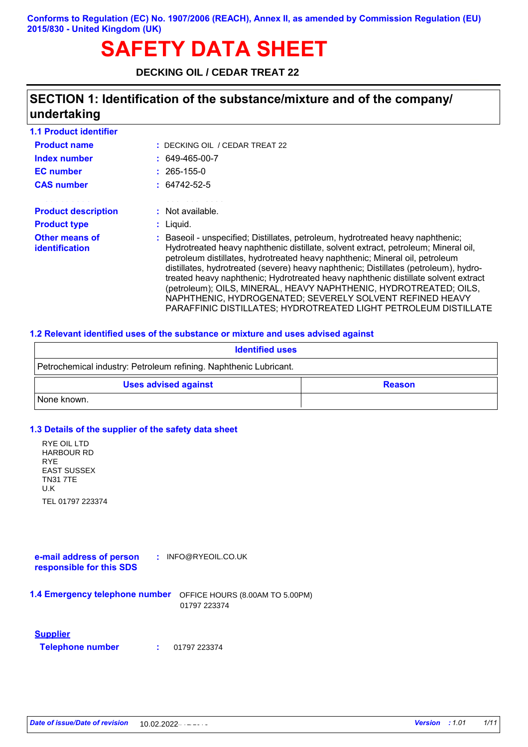# **SAFETY DATA SHEET**

**DECKING OIL / CEDAR TREAT 22** 

## **SECTION 1: Identification of the substance/mixture and of the company/ undertaking**

| <b>1.1 Product identifier</b>                     |                                                                                                                                                                                                                                                                                                                                                                                                                                                                                                                                                                                                                                         |
|---------------------------------------------------|-----------------------------------------------------------------------------------------------------------------------------------------------------------------------------------------------------------------------------------------------------------------------------------------------------------------------------------------------------------------------------------------------------------------------------------------------------------------------------------------------------------------------------------------------------------------------------------------------------------------------------------------|
| <b>Product name</b>                               | $:$ DECKING OIL / CEDAR TREAT 22                                                                                                                                                                                                                                                                                                                                                                                                                                                                                                                                                                                                        |
| Index number                                      | $: 649-465-00-7$                                                                                                                                                                                                                                                                                                                                                                                                                                                                                                                                                                                                                        |
| <b>EC</b> number                                  | $: 265 - 155 - 0$                                                                                                                                                                                                                                                                                                                                                                                                                                                                                                                                                                                                                       |
| <b>CAS number</b>                                 | $: 64742 - 52 - 5$                                                                                                                                                                                                                                                                                                                                                                                                                                                                                                                                                                                                                      |
| and a series of the<br><b>Product description</b> | : Not available.                                                                                                                                                                                                                                                                                                                                                                                                                                                                                                                                                                                                                        |
| <b>Product type</b>                               | $:$ Liquid.                                                                                                                                                                                                                                                                                                                                                                                                                                                                                                                                                                                                                             |
| Other means of<br><b>identification</b>           | : Baseoil - unspecified; Distillates, petroleum, hydrotreated heavy naphthenic;<br>Hydrotreated heavy naphthenic distillate, solvent extract, petroleum; Mineral oil,<br>petroleum distillates, hydrotreated heavy naphthenic; Mineral oil, petroleum<br>distillates, hydrotreated (severe) heavy naphthenic; Distillates (petroleum), hydro-<br>treated heavy naphthenic; Hydrotreated heavy naphthenic distillate solvent extract<br>(petroleum); OILS, MINERAL, HEAVY NAPHTHENIC, HYDROTREATED; OILS,<br>NAPHTHENIC, HYDROGENATED; SEVERELY SOLVENT REFINED HEAVY<br>PARAFFINIC DISTILLATES: HYDROTREATED LIGHT PETROLEUM DISTILLATE |

#### **1.2 Relevant identified uses of the substance or mixture and uses advised against**

| <b>Identified uses</b>                                            |               |  |
|-------------------------------------------------------------------|---------------|--|
| Petrochemical industry: Petroleum refining. Naphthenic Lubricant. |               |  |
| <b>Uses advised against</b>                                       | <b>Reason</b> |  |
| None known.                                                       |               |  |

#### **1.3 Details of the supplier of the safety data sheet**

**e-mail address of person responsible for this SDS :** INFO@RYEOIL.CO.UK **1.4 Emergency telephone number** OFFICE HOURS (8.00AM TO 5.00PM) **National advisory body/Poison Centre** 01797 223374 **Supplier Telephone number : 24 hr. CHEMTREC 2000-234-9300 / International 2000-234-9300 / International 1-703-5287-8887** RYE OIL LTD HARBOUR RD Indianapolis, Indianapolis, Indianapolis, Indianapolis, Indianapolis, Indianapolis, Indianapolis, Indianapolis EAST SUSSEX TN31 7TE<br>W TEL 01797 223374 RYE U.K 01797 223374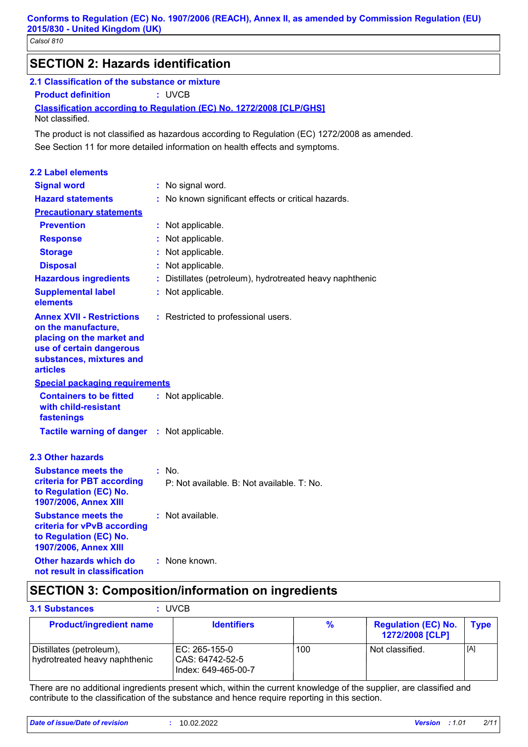| <b>SECTION 2: Hazards identification</b>                                                                                                                        |                                                                                               |
|-----------------------------------------------------------------------------------------------------------------------------------------------------------------|-----------------------------------------------------------------------------------------------|
| 2.1 Classification of the substance or mixture                                                                                                                  |                                                                                               |
| <b>Product definition</b>                                                                                                                                       | : UVCB                                                                                        |
|                                                                                                                                                                 | <b>Classification according to Regulation (EC) No. 1272/2008 [CLP/GHS]</b>                    |
| Not classified.                                                                                                                                                 |                                                                                               |
|                                                                                                                                                                 | The product is not classified as hazardous according to Regulation (EC) 1272/2008 as amended. |
|                                                                                                                                                                 | See Section 11 for more detailed information on health effects and symptoms.                  |
| <b>2.2 Label elements</b>                                                                                                                                       |                                                                                               |
| <b>Signal word</b>                                                                                                                                              | : No signal word.                                                                             |
| <b>Hazard statements</b>                                                                                                                                        | : No known significant effects or critical hazards.                                           |
| <b>Precautionary statements</b>                                                                                                                                 |                                                                                               |
| <b>Prevention</b>                                                                                                                                               | : Not applicable.                                                                             |
| <b>Response</b>                                                                                                                                                 | Not applicable.                                                                               |
| <b>Storage</b>                                                                                                                                                  | Not applicable.                                                                               |
| <b>Disposal</b>                                                                                                                                                 | Not applicable.                                                                               |
| <b>Hazardous ingredients</b>                                                                                                                                    | Distillates (petroleum), hydrotreated heavy naphthenic                                        |
| <b>Supplemental label</b><br>elements                                                                                                                           | : Not applicable.                                                                             |
| <b>Annex XVII - Restrictions</b><br>on the manufacture,<br>placing on the market and<br>use of certain dangerous<br>substances, mixtures and<br><b>articles</b> | : Restricted to professional users.                                                           |
| <b>Special packaging requirements</b>                                                                                                                           |                                                                                               |
| <b>Containers to be fitted</b><br>with child-resistant<br>fastenings                                                                                            | : Not applicable.                                                                             |
| Tactile warning of danger : Not applicable.                                                                                                                     |                                                                                               |
| <b>2.3 Other hazards</b>                                                                                                                                        |                                                                                               |
| <b>Substance meets the</b>                                                                                                                                      | : No.                                                                                         |
| criteria for PBT according<br>to Regulation (EC) No.<br>1907/2006, Annex XIII                                                                                   | P: Not available. B: Not available. T: No.                                                    |
| <b>Substance meets the</b><br>criteria for vPvB according<br>to Regulation (EC) No.<br>1907/2006, Annex XIII                                                    | : Not available.                                                                              |
| Other hazards which do<br>not result in classification                                                                                                          | : None known.                                                                                 |

## **SECTION 3: Composition/information on ingredients**

| <b>3.1 Substances</b>                                     | <b>UVCB</b>                                                |               |                                               |             |
|-----------------------------------------------------------|------------------------------------------------------------|---------------|-----------------------------------------------|-------------|
| <b>Product/ingredient name</b>                            | <b>Identifiers</b>                                         | $\frac{9}{6}$ | <b>Regulation (EC) No.</b><br>1272/2008 [CLP] | <b>Type</b> |
| Distillates (petroleum),<br>hydrotreated heavy naphthenic | IEC: 265-155-0<br>l CAS: 64742-52-5<br>Index: 649-465-00-7 | 100           | Not classified.                               | [A]         |

There are no additional ingredients present which, within the current knowledge of the supplier, are classified and contribute to the classification of the substance and hence require reporting in this section.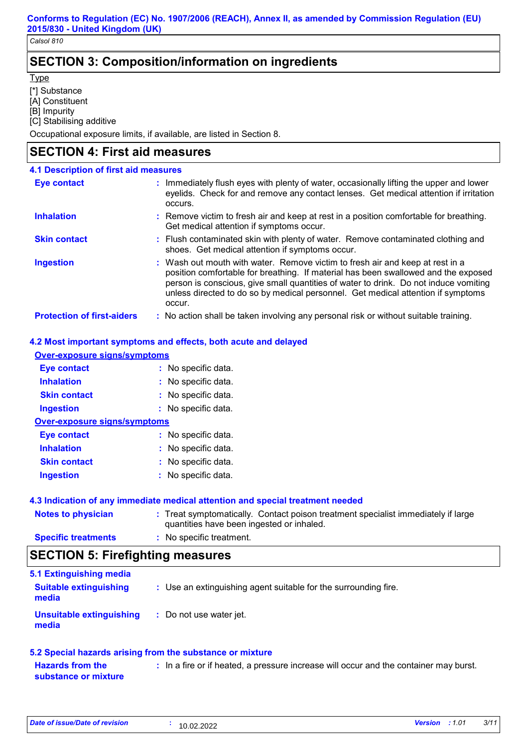## **SECTION 3: Composition/information on ingredients**

**Type** 

[\*] Substance

[A] Constituent

[B] Impurity

[C] Stabilising additive

Occupational exposure limits, if available, are listed in Section 8.

### **SECTION 4: First aid measures**

| <b>4.1 Description of first aid measures</b> |                                                                                                                                                                                                                                                                                                                                                           |
|----------------------------------------------|-----------------------------------------------------------------------------------------------------------------------------------------------------------------------------------------------------------------------------------------------------------------------------------------------------------------------------------------------------------|
| <b>Eye contact</b>                           | : Immediately flush eyes with plenty of water, occasionally lifting the upper and lower<br>eyelids. Check for and remove any contact lenses. Get medical attention if irritation<br>occurs.                                                                                                                                                               |
| <b>Inhalation</b>                            | : Remove victim to fresh air and keep at rest in a position comfortable for breathing.<br>Get medical attention if symptoms occur.                                                                                                                                                                                                                        |
| <b>Skin contact</b>                          | : Flush contaminated skin with plenty of water. Remove contaminated clothing and<br>shoes. Get medical attention if symptoms occur.                                                                                                                                                                                                                       |
| <b>Ingestion</b>                             | : Wash out mouth with water. Remove victim to fresh air and keep at rest in a<br>position comfortable for breathing. If material has been swallowed and the exposed<br>person is conscious, give small quantities of water to drink. Do not induce vomiting<br>unless directed to do so by medical personnel. Get medical attention if symptoms<br>occur. |
| <b>Protection of first-aiders</b>            | : No action shall be taken involving any personal risk or without suitable training.                                                                                                                                                                                                                                                                      |

### **4.2 Most important symptoms and effects, both acute and delayed**

| <b>Over-exposure signs/symptoms</b>                                                                                                                                  |  |  |  |  |
|----------------------------------------------------------------------------------------------------------------------------------------------------------------------|--|--|--|--|
| : No specific data.                                                                                                                                                  |  |  |  |  |
| : No specific data.                                                                                                                                                  |  |  |  |  |
| : No specific data.                                                                                                                                                  |  |  |  |  |
| : No specific data.                                                                                                                                                  |  |  |  |  |
| <b>Over-exposure signs/symptoms</b>                                                                                                                                  |  |  |  |  |
| : No specific data.                                                                                                                                                  |  |  |  |  |
| : No specific data.                                                                                                                                                  |  |  |  |  |
| : No specific data.                                                                                                                                                  |  |  |  |  |
| : No specific data.                                                                                                                                                  |  |  |  |  |
| 4.3 Indication of any immediate medical attention and special treatment needed<br>. Tract our proportically Cantact poison tractment epocialist immediately if lerge |  |  |  |  |
|                                                                                                                                                                      |  |  |  |  |

| <b>Notes to physician</b>  | : Treat symptomatically. Contact poison treatment specialist immediately if large<br>quantities have been ingested or inhaled. |
|----------------------------|--------------------------------------------------------------------------------------------------------------------------------|
| <b>Specific treatments</b> | : No specific treatment.                                                                                                       |

## **SECTION 5: Firefighting measures**

| 5.1 Extinguishing media                |                                                                 |
|----------------------------------------|-----------------------------------------------------------------|
| <b>Suitable extinguishing</b><br>media | : Use an extinguishing agent suitable for the surrounding fire. |
| Unsuitable extinguishing<br>media      | : Do not use water jet.                                         |

### **5.2 Special hazards arising from the substance or mixture**

**Hazards from the substance or mixture :** In a fire or if heated, a pressure increase will occur and the container may burst.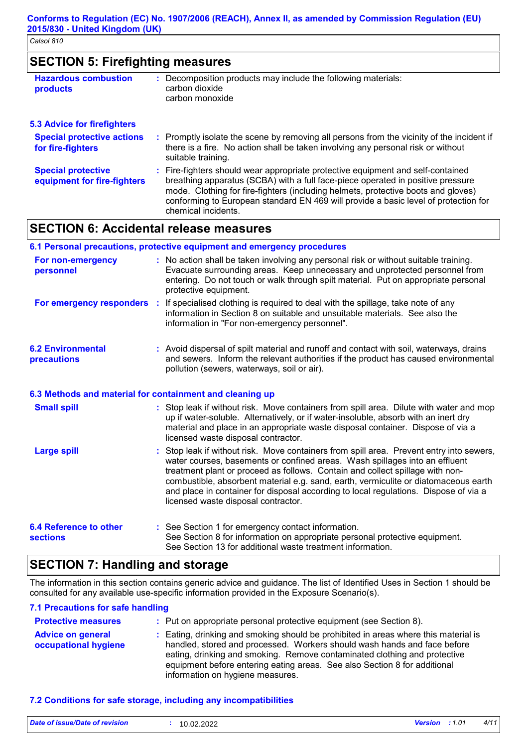## **SECTION 5: Firefighting measures**

| <b>Hazardous combustion</b><br><b>products</b>           | : Decomposition products may include the following materials:<br>carbon dioxide<br>carbon monoxide                                                                                                                                                      |
|----------------------------------------------------------|---------------------------------------------------------------------------------------------------------------------------------------------------------------------------------------------------------------------------------------------------------|
| <b>5.3 Advice for firefighters</b>                       |                                                                                                                                                                                                                                                         |
| <b>Special protective actions</b><br>for fire-fighters   | : Promptly isolate the scene by removing all persons from the vicinity of the incident if<br>there is a fire. No action shall be taken involving any personal risk or without<br>suitable training.                                                     |
| <b>Special protective</b><br>equipment for fire-fighters | : Fire-fighters should wear appropriate protective equipment and self-contained<br>breathing apparatus (SCBA) with a full face-piece operated in positive pressure<br>mode. Clothing for fire-fighters (including helmets, protective boots and gloves) |

## **SECTION 6: Accidental release measures**

#### **6.1 Personal precautions, protective equipment and emergency procedures**

chemical incidents.

| For non-emergency<br>personnel                 | : No action shall be taken involving any personal risk or without suitable training.<br>Evacuate surrounding areas. Keep unnecessary and unprotected personnel from<br>entering. Do not touch or walk through spilt material. Put on appropriate personal<br>protective equipment. |
|------------------------------------------------|------------------------------------------------------------------------------------------------------------------------------------------------------------------------------------------------------------------------------------------------------------------------------------|
| For emergency responders :                     | If specialised clothing is required to deal with the spillage, take note of any<br>information in Section 8 on suitable and unsuitable materials. See also the<br>information in "For non-emergency personnel".                                                                    |
| <b>6.2 Environmental</b><br><b>precautions</b> | : Avoid dispersal of spilt material and runoff and contact with soil, waterways, drains<br>and sewers. Inform the relevant authorities if the product has caused environmental<br>pollution (sewers, waterways, soil or air).                                                      |

conforming to European standard EN 469 will provide a basic level of protection for

### **6.3 Methods and material for containment and cleaning up**

| <b>Small spill</b>                        | : Stop leak if without risk. Move containers from spill area. Dilute with water and mop<br>up if water-soluble. Alternatively, or if water-insoluble, absorb with an inert dry<br>material and place in an appropriate waste disposal container. Dispose of via a<br>licensed waste disposal contractor.                                                                                                                                                                       |
|-------------------------------------------|--------------------------------------------------------------------------------------------------------------------------------------------------------------------------------------------------------------------------------------------------------------------------------------------------------------------------------------------------------------------------------------------------------------------------------------------------------------------------------|
| <b>Large spill</b>                        | : Stop leak if without risk. Move containers from spill area. Prevent entry into sewers,<br>water courses, basements or confined areas. Wash spillages into an effluent<br>treatment plant or proceed as follows. Contain and collect spillage with non-<br>combustible, absorbent material e.g. sand, earth, vermiculite or diatomaceous earth<br>and place in container for disposal according to local regulations. Dispose of via a<br>licensed waste disposal contractor. |
| <b>6.4 Reference to other</b><br>sections | : See Section 1 for emergency contact information.<br>See Section 8 for information on appropriate personal protective equipment.<br>See Section 13 for additional waste treatment information.                                                                                                                                                                                                                                                                                |

## **SECTION 7: Handling and storage**

The information in this section contains generic advice and guidance. The list of Identified Uses in Section 1 should be consulted for any available use-specific information provided in the Exposure Scenario(s).

### **7.1 Precautions for safe handling**

| <b>Protective measures</b>                       | : Put on appropriate personal protective equipment (see Section 8).                                                                                                                                                                                                                                                                                           |  |
|--------------------------------------------------|---------------------------------------------------------------------------------------------------------------------------------------------------------------------------------------------------------------------------------------------------------------------------------------------------------------------------------------------------------------|--|
| <b>Advice on general</b><br>occupational hygiene | : Eating, drinking and smoking should be prohibited in areas where this material is<br>handled, stored and processed. Workers should wash hands and face before<br>eating, drinking and smoking. Remove contaminated clothing and protective<br>equipment before entering eating areas. See also Section 8 for additional<br>information on hygiene measures. |  |

### **7.2 Conditions for safe storage, including any incompatibilities**

| Date of issue/Date of revision<br><b>Version</b> : 1.01<br>10.02.2022 | 4/11 |
|-----------------------------------------------------------------------|------|
|-----------------------------------------------------------------------|------|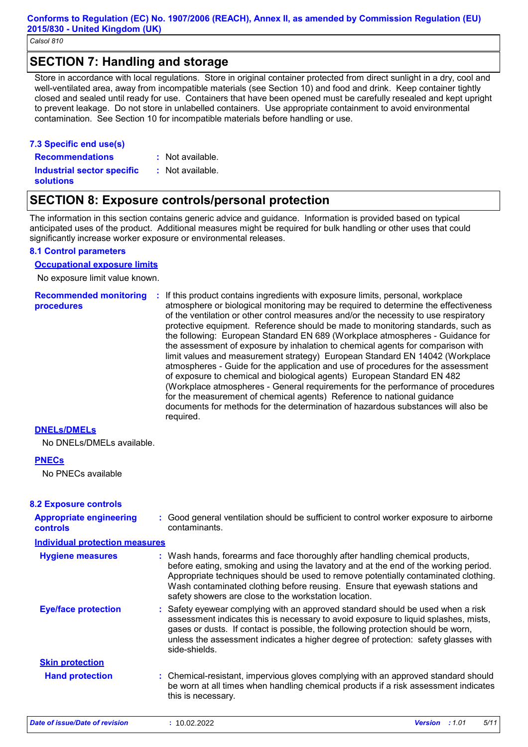### **SECTION 7: Handling and storage**

Store in accordance with local regulations. Store in original container protected from direct sunlight in a dry, cool and well-ventilated area, away from incompatible materials (see Section 10) and food and drink. Keep container tightly closed and sealed until ready for use. Containers that have been opened must be carefully resealed and kept upright to prevent leakage. Do not store in unlabelled containers. Use appropriate containment to avoid environmental contamination. See Section 10 for incompatible materials before handling or use.

### **7.3 Specific end use(s) Recommendations :**

: Not available.

: Not available.

**Industrial sector specific : solutions**

## **SECTION 8: Exposure controls/personal protection**

The information in this section contains generic advice and guidance. Information is provided based on typical anticipated uses of the product. Additional measures might be required for bulk handling or other uses that could significantly increase worker exposure or environmental releases.

### **8.1 Control parameters**

#### **Occupational exposure limits**

No exposure limit value known.

**Recommended monitoring procedures :** If this product contains ingredients with exposure limits, personal, workplace atmosphere or biological monitoring may be required to determine the effectiveness of the ventilation or other control measures and/or the necessity to use respiratory protective equipment. Reference should be made to monitoring standards, such as the following: European Standard EN 689 (Workplace atmospheres - Guidance for the assessment of exposure by inhalation to chemical agents for comparison with limit values and measurement strategy) European Standard EN 14042 (Workplace atmospheres - Guide for the application and use of procedures for the assessment of exposure to chemical and biological agents) European Standard EN 482 (Workplace atmospheres - General requirements for the performance of procedures for the measurement of chemical agents) Reference to national guidance documents for methods for the determination of hazardous substances will also be required.

### **DNELs/DMELs**

No DNELs/DMELs available.

### **PNECs**

No PNECs available

### **8.2 Exposure controls**

| <b>Appropriate engineering</b><br><b>controls</b> | : Good general ventilation should be sufficient to control worker exposure to airborne<br>contaminants.                                                                                                                                                                                                                                                                                           |               |      |
|---------------------------------------------------|---------------------------------------------------------------------------------------------------------------------------------------------------------------------------------------------------------------------------------------------------------------------------------------------------------------------------------------------------------------------------------------------------|---------------|------|
| <b>Individual protection measures</b>             |                                                                                                                                                                                                                                                                                                                                                                                                   |               |      |
| <b>Hygiene measures</b>                           | : Wash hands, forearms and face thoroughly after handling chemical products,<br>before eating, smoking and using the lavatory and at the end of the working period.<br>Appropriate techniques should be used to remove potentially contaminated clothing.<br>Wash contaminated clothing before reusing. Ensure that eyewash stations and<br>safety showers are close to the workstation location. |               |      |
| <b>Eye/face protection</b>                        | : Safety eyewear complying with an approved standard should be used when a risk<br>assessment indicates this is necessary to avoid exposure to liquid splashes, mists,<br>gases or dusts. If contact is possible, the following protection should be worn,<br>unless the assessment indicates a higher degree of protection: safety glasses with<br>side-shields.                                 |               |      |
| <b>Skin protection</b>                            |                                                                                                                                                                                                                                                                                                                                                                                                   |               |      |
| <b>Hand protection</b>                            | : Chemical-resistant, impervious gloves complying with an approved standard should<br>be worn at all times when handling chemical products if a risk assessment indicates<br>this is necessary.                                                                                                                                                                                                   |               |      |
| Date of issue/Date of revision                    | : 10.02.2022                                                                                                                                                                                                                                                                                                                                                                                      | Version : 101 | 5/11 |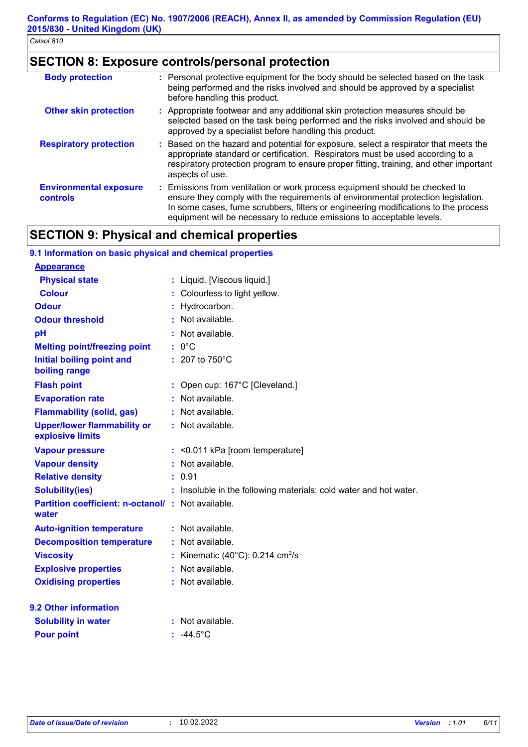## **SECTION 8: Exposure controls/personal protection**

| <b>Body protection</b>                    | : Personal protective equipment for the body should be selected based on the task<br>being performed and the risks involved and should be approved by a specialist<br>before handling this product.                                                                                                                             |
|-------------------------------------------|---------------------------------------------------------------------------------------------------------------------------------------------------------------------------------------------------------------------------------------------------------------------------------------------------------------------------------|
| <b>Other skin protection</b>              | : Appropriate footwear and any additional skin protection measures should be<br>selected based on the task being performed and the risks involved and should be<br>approved by a specialist before handling this product.                                                                                                       |
| <b>Respiratory protection</b>             | : Based on the hazard and potential for exposure, select a respirator that meets the<br>appropriate standard or certification. Respirators must be used according to a<br>respiratory protection program to ensure proper fitting, training, and other important<br>aspects of use.                                             |
| <b>Environmental exposure</b><br>controls | : Emissions from ventilation or work process equipment should be checked to<br>ensure they comply with the requirements of environmental protection legislation.<br>In some cases, fume scrubbers, filters or engineering modifications to the process<br>equipment will be necessary to reduce emissions to acceptable levels. |

## **SECTION 9: Physical and chemical properties**

| 9.1 Information on basic physical and chemical properties   |    |                                                                   |  |
|-------------------------------------------------------------|----|-------------------------------------------------------------------|--|
| <b>Appearance</b>                                           |    |                                                                   |  |
| <b>Physical state</b>                                       |    | : Liquid. [Viscous liquid.]                                       |  |
| <b>Colour</b>                                               |    | Colourless to light yellow.                                       |  |
| <b>Odour</b>                                                |    | Hydrocarbon.                                                      |  |
| <b>Odour threshold</b>                                      |    | : Not available.                                                  |  |
| pH                                                          |    | Not available.                                                    |  |
| <b>Melting point/freezing point</b>                         |    | $: 0^{\circ}C$                                                    |  |
| <b>Initial boiling point and</b><br>boiling range           |    | $: 207$ to $750^{\circ}$ C                                        |  |
| <b>Flash point</b>                                          |    | Open cup: 167°C [Cleveland.]                                      |  |
| <b>Evaporation rate</b>                                     |    | Not available.                                                    |  |
| <b>Flammability (solid, gas)</b>                            |    | : Not available.                                                  |  |
| <b>Upper/lower flammability or</b><br>explosive limits      |    | : Not available.                                                  |  |
| <b>Vapour pressure</b>                                      |    | $:$ <0.011 kPa [room temperature]                                 |  |
| <b>Vapour density</b>                                       |    | Not available.                                                    |  |
| <b>Relative density</b>                                     |    | 0.91                                                              |  |
| <b>Solubility(ies)</b>                                      |    | : Insoluble in the following materials: cold water and hot water. |  |
| Partition coefficient: n-octanol/ : Not available.<br>water |    |                                                                   |  |
| <b>Auto-ignition temperature</b>                            |    | : Not available.                                                  |  |
| <b>Decomposition temperature</b>                            |    | : Not available.                                                  |  |
| <b>Viscosity</b>                                            |    | Kinematic (40 $^{\circ}$ C): 0.214 cm <sup>2</sup> /s             |  |
| <b>Explosive properties</b>                                 | ċ. | Not available.                                                    |  |
| <b>Oxidising properties</b>                                 |    | : Not available.                                                  |  |
| 9.2 Other information                                       |    |                                                                   |  |
| <b>Solubility in water</b>                                  |    | : Not available.                                                  |  |
| <b>Pour point</b>                                           |    | : $-44.5^{\circ}$ C                                               |  |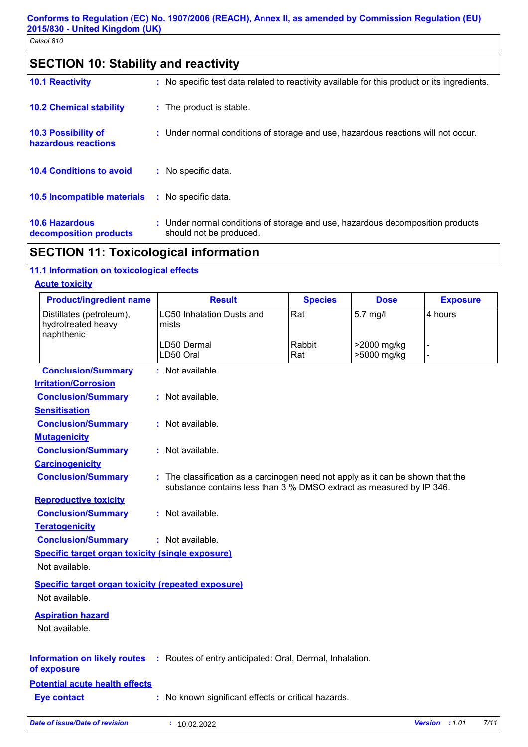## **SECTION 10: Stability and reactivity**

| <b>10.1 Reactivity</b>                          | : No specific test data related to reactivity available for this product or its ingredients.              |
|-------------------------------------------------|-----------------------------------------------------------------------------------------------------------|
| <b>10.2 Chemical stability</b>                  | : The product is stable.                                                                                  |
| 10.3 Possibility of<br>hazardous reactions      | : Under normal conditions of storage and use, hazardous reactions will not occur.                         |
| <b>10.4 Conditions to avoid</b>                 | No specific data.                                                                                         |
| 10.5 Incompatible materials                     | : No specific data.                                                                                       |
| <b>10.6 Hazardous</b><br>decomposition products | : Under normal conditions of storage and use, hazardous decomposition products<br>should not be produced. |

## **SECTION 11: Toxicological information**

### **11.1 Information on toxicological effects**

#### **Acute toxicity**

| <b>Product/ingredient name</b>                                              | <b>Result</b>                                                                                                                                           | <b>Species</b> | <b>Dose</b>                | <b>Exposure</b> |
|-----------------------------------------------------------------------------|---------------------------------------------------------------------------------------------------------------------------------------------------------|----------------|----------------------------|-----------------|
| Distillates (petroleum),<br>hydrotreated heavy<br>naphthenic                | <b>LC50 Inhalation Dusts and</b><br>mists                                                                                                               | Rat            | 5.7 mg/l                   | 4 hours         |
|                                                                             | LD50 Dermal<br>LD50 Oral                                                                                                                                | Rabbit<br>Rat  | >2000 mg/kg<br>>5000 mg/kg |                 |
| <b>Conclusion/Summary</b>                                                   | : Not available.                                                                                                                                        |                |                            |                 |
| <b>Irritation/Corrosion</b>                                                 |                                                                                                                                                         |                |                            |                 |
| <b>Conclusion/Summary</b>                                                   | : Not available.                                                                                                                                        |                |                            |                 |
| <b>Sensitisation</b>                                                        |                                                                                                                                                         |                |                            |                 |
| <b>Conclusion/Summary</b>                                                   | : Not available.                                                                                                                                        |                |                            |                 |
| <b>Mutagenicity</b>                                                         |                                                                                                                                                         |                |                            |                 |
| <b>Conclusion/Summary</b>                                                   | : Not available.                                                                                                                                        |                |                            |                 |
| <b>Carcinogenicity</b>                                                      |                                                                                                                                                         |                |                            |                 |
| <b>Conclusion/Summary</b>                                                   | : The classification as a carcinogen need not apply as it can be shown that the<br>substance contains less than 3 % DMSO extract as measured by IP 346. |                |                            |                 |
| <b>Reproductive toxicity</b>                                                |                                                                                                                                                         |                |                            |                 |
| <b>Conclusion/Summary</b>                                                   | : Not available.                                                                                                                                        |                |                            |                 |
| <b>Teratogenicity</b>                                                       |                                                                                                                                                         |                |                            |                 |
| <b>Conclusion/Summary</b>                                                   | : Not available.                                                                                                                                        |                |                            |                 |
| <b>Specific target organ toxicity (single exposure)</b><br>Not available.   |                                                                                                                                                         |                |                            |                 |
|                                                                             |                                                                                                                                                         |                |                            |                 |
| <b>Specific target organ toxicity (repeated exposure)</b><br>Not available. |                                                                                                                                                         |                |                            |                 |
| <b>Aspiration hazard</b><br>Not available.                                  |                                                                                                                                                         |                |                            |                 |
| of exposure                                                                 | <b>Information on likely routes</b> : Routes of entry anticipated: Oral, Dermal, Inhalation.                                                            |                |                            |                 |
| <b>Potential acute health effects</b>                                       |                                                                                                                                                         |                |                            |                 |
| <b>Eye contact</b>                                                          | : No known significant effects or critical hazards.                                                                                                     |                |                            |                 |
|                                                                             |                                                                                                                                                         |                |                            |                 |

| Date of issue/Date of revision | 10.02.2022 | <b>Version</b> : 1.01 | 7/11 |
|--------------------------------|------------|-----------------------|------|
|                                |            |                       |      |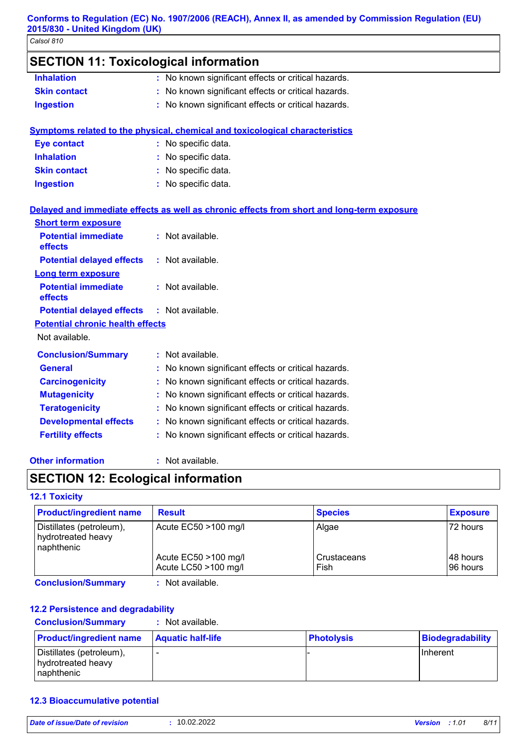| <b>SECTION 11: Toxicological information</b> |  |                                                                                            |  |  |
|----------------------------------------------|--|--------------------------------------------------------------------------------------------|--|--|
| <b>Inhalation</b>                            |  | : No known significant effects or critical hazards.                                        |  |  |
| <b>Skin contact</b>                          |  | No known significant effects or critical hazards.                                          |  |  |
| <b>Ingestion</b>                             |  | : No known significant effects or critical hazards.                                        |  |  |
|                                              |  | <b>Symptoms related to the physical, chemical and toxicological characteristics</b>        |  |  |
| <b>Eye contact</b>                           |  | : No specific data.                                                                        |  |  |
| <b>Inhalation</b>                            |  | No specific data.                                                                          |  |  |
| <b>Skin contact</b>                          |  | No specific data.                                                                          |  |  |
| <b>Ingestion</b>                             |  | : No specific data.                                                                        |  |  |
|                                              |  | Delayed and immediate effects as well as chronic effects from short and long-term exposure |  |  |
| <b>Short term exposure</b>                   |  |                                                                                            |  |  |
| <b>Potential immediate</b><br>effects        |  | : Not available.                                                                           |  |  |
| <b>Potential delayed effects</b>             |  | : Not available.                                                                           |  |  |
| Long term exposure                           |  |                                                                                            |  |  |
| <b>Potential immediate</b><br>effects        |  | : Not available.                                                                           |  |  |
| <b>Potential delayed effects</b>             |  | : Not available.                                                                           |  |  |
| <b>Potential chronic health effects</b>      |  |                                                                                            |  |  |
| Not available.                               |  |                                                                                            |  |  |
| <b>Conclusion/Summary</b>                    |  | : Not available.                                                                           |  |  |
| <b>General</b>                               |  | : No known significant effects or critical hazards.                                        |  |  |
| <b>Carcinogenicity</b>                       |  | : No known significant effects or critical hazards.                                        |  |  |
| <b>Mutagenicity</b>                          |  | : No known significant effects or critical hazards.                                        |  |  |
| <b>Teratogenicity</b>                        |  | : No known significant effects or critical hazards.                                        |  |  |
| <b>Developmental effects</b>                 |  | : No known significant effects or critical hazards.                                        |  |  |
| <b>Fertility effects</b>                     |  | : No known significant effects or critical hazards.                                        |  |  |
|                                              |  |                                                                                            |  |  |

### **Other information :**

: Not available.

## **SECTION 12: Ecological information**

### **12.1 Toxicity**

| <b>Product/ingredient name</b>                               | <b>Result</b>                                | <b>Species</b>      | <b>Exposure</b>        |
|--------------------------------------------------------------|----------------------------------------------|---------------------|------------------------|
| Distillates (petroleum),<br>hydrotreated heavy<br>naphthenic | Acute EC50 >100 mg/l                         | Algae               | 72 hours               |
|                                                              | Acute EC50 >100 mg/l<br>Acute LC50 >100 mg/l | Crustaceans<br>Fish | I48 hours<br>196 hours |

**Conclusion/Summary :** Not available.

### **12.2 Persistence and degradability**

**Conclusion/Summary :** Not available.

| <b>Product/ingredient name</b>                               | <b>Aquatic half-life</b> | <b>Photolysis</b> | Biodegradability |
|--------------------------------------------------------------|--------------------------|-------------------|------------------|
| Distillates (petroleum),<br>hydrotreated heavy<br>naphthenic | -                        |                   | <b>I</b> nherent |

### **12.3 Bioaccumulative potential**

| Date of issue/Date of revision | : 10.02.2022 |
|--------------------------------|--------------|
|                                |              |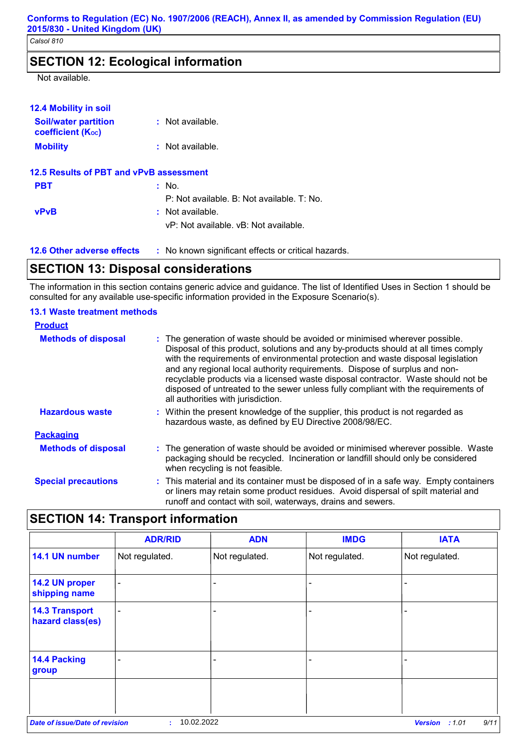## **SECTION 12: Ecological information**

Not available.

| <b>12.4 Mobility in soil</b>                            |                                                     |
|---------------------------------------------------------|-----------------------------------------------------|
| <b>Soil/water partition</b><br><b>coefficient (Koc)</b> | : Not available.                                    |
| <b>Mobility</b>                                         | $\therefore$ Not available.                         |
| 12.5 Results of PBT and vPvB assessment                 |                                                     |
| <b>PBT</b>                                              | $:$ No.                                             |
|                                                         | P: Not available. B: Not available. T: No.          |
| <b>vPvB</b>                                             | : Not available.                                    |
|                                                         | vP: Not available, vB: Not available.               |
| <b>12.6 Other adverse effects</b>                       | : No known significant effects or critical hazards. |

## **SECTION 13: Disposal considerations**

The information in this section contains generic advice and guidance. The list of Identified Uses in Section 1 should be consulted for any available use-specific information provided in the Exposure Scenario(s).

### **13.1 Waste treatment methods**

| <b>Product</b>             |                                                                                                                                                                                                                                                                                                                                                                                                                                                                                                                                                      |
|----------------------------|------------------------------------------------------------------------------------------------------------------------------------------------------------------------------------------------------------------------------------------------------------------------------------------------------------------------------------------------------------------------------------------------------------------------------------------------------------------------------------------------------------------------------------------------------|
| <b>Methods of disposal</b> | : The generation of waste should be avoided or minimised wherever possible.<br>Disposal of this product, solutions and any by-products should at all times comply<br>with the requirements of environmental protection and waste disposal legislation<br>and any regional local authority requirements. Dispose of surplus and non-<br>recyclable products via a licensed waste disposal contractor. Waste should not be<br>disposed of untreated to the sewer unless fully compliant with the requirements of<br>all authorities with jurisdiction. |
| <b>Hazardous waste</b>     | : Within the present knowledge of the supplier, this product is not regarded as<br>hazardous waste, as defined by EU Directive 2008/98/EC.                                                                                                                                                                                                                                                                                                                                                                                                           |
| <b>Packaging</b>           |                                                                                                                                                                                                                                                                                                                                                                                                                                                                                                                                                      |
| <b>Methods of disposal</b> | : The generation of waste should be avoided or minimised wherever possible. Waste<br>packaging should be recycled. Incineration or landfill should only be considered<br>when recycling is not feasible.                                                                                                                                                                                                                                                                                                                                             |
| <b>Special precautions</b> | : This material and its container must be disposed of in a safe way. Empty containers<br>or liners may retain some product residues. Avoid dispersal of spilt material and<br>runoff and contact with soil, waterways, drains and sewers.                                                                                                                                                                                                                                                                                                            |
| .                          | .                                                                                                                                                                                                                                                                                                                                                                                                                                                                                                                                                    |

## **SECTION 14: Transport information**

|                                           | <b>ADR/RID</b>           | <b>ADN</b>     | <b>IMDG</b>    | <b>IATA</b>              |
|-------------------------------------------|--------------------------|----------------|----------------|--------------------------|
| 14.1 UN number                            | Not regulated.           | Not regulated. | Not regulated. | Not regulated.           |
| 14.2 UN proper<br>shipping name           | $\overline{\phantom{a}}$ |                |                |                          |
| <b>14.3 Transport</b><br>hazard class(es) | $\overline{\phantom{0}}$ |                |                |                          |
| <b>14.4 Packing</b><br>group              |                          | ٠              |                |                          |
|                                           |                          |                |                |                          |
| <b>Date of issue/Date of revision</b>     | ÷.                       | 10.02.2022     |                | 9/11<br>:1.01<br>Version |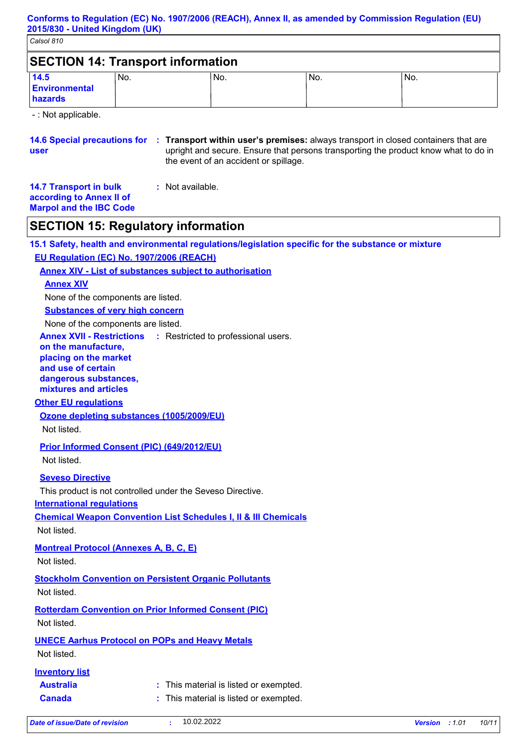| <b>SECTION 14: Transport information</b> |      |      |     |      |  |
|------------------------------------------|------|------|-----|------|--|
| 14.5<br>Environmental<br>hazards         | 'No. | 'No. | No. | 'No. |  |

- : Not applicable.

**14.6 Special precautions for : Transport within user's premises: always transport in closed containers that are user** upright and secure. Ensure that persons transporting the product know what to do in the event of an accident or spillage.

| <b>14.7 Transport in bulk</b>  | : Not available. |
|--------------------------------|------------------|
| according to Annex II of       |                  |
| <b>Marpol and the IBC Code</b> |                  |

## **SECTION 15: Regulatory information**

**15.1 Safety, health and environmental regulations/legislation specific for the substance or mixture EU Regulation (EC) No. 1907/2006 (REACH)**

**Annex XIV - List of substances subject to authorisation**

#### **Annex XIV**

None of the components are listed.

**Substances of very high concern**

None of the components are listed.

**Annex XVII - Restrictions** : Restricted to professional users.

**on the manufacture,**

**placing on the market** 

**and use of certain** 

**dangerous substances, mixtures and articles**

## **Other EU regulations**

**Ozone depleting substances (1005/2009/EU)**

Not listed.

**Prior Informed Consent (PIC) (649/2012/EU)**

Not listed.

### **Seveso Directive**

This product is not controlled under the Seveso Directive.

**International regulations**

**Chemical Weapon Convention List Schedules I, II & III Chemicals**

Not listed.

**Montreal Protocol (Annexes A, B, C, E)**

Not listed.

**Stockholm Convention on Persistent Organic Pollutants**

Not listed.

**Rotterdam Convention on Prior Informed Consent (PIC)** Not listed.

**UNECE Aarhus Protocol on POPs and Heavy Metals**

Not listed.

### **Inventory list**

| Australia     | : This material is listed or exempted. |
|---------------|----------------------------------------|
| <b>Canada</b> | : This material is listed or exempted. |